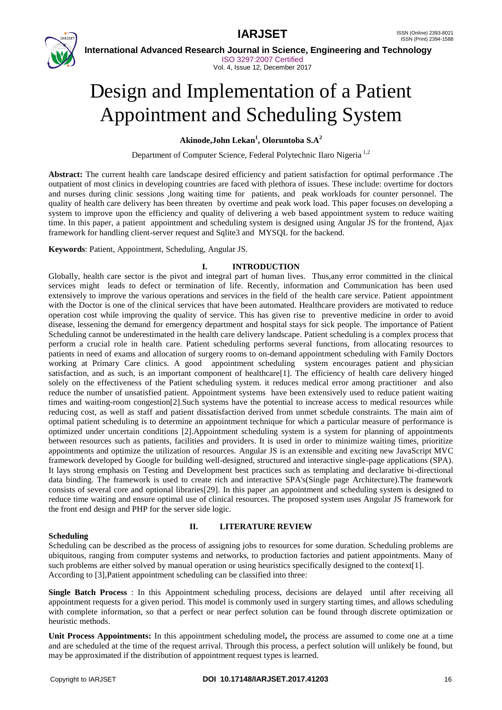

 **International Advanced Research Journal in Science, Engineering and Technology** ISO 3297:2007 Certified Vol. 4, Issue 12, December 2017

# Design and Implementation of a Patient Appointment and Scheduling System

### **Akinode,John Lekan<sup>1</sup> , Oloruntoba S.A<sup>2</sup>**

Department of Computer Science, Federal Polytechnic Ilaro Nigeria 1,2

**Abstract:** The current health care landscape desired efficiency and patient satisfaction for optimal performance .The outpatient of most clinics in developing countries are faced with plethora of issues. These include: overtime for doctors and nurses during clinic sessions ,long waiting time for patients, and peak workloads for counter personnel. The quality of health care delivery has been threaten by overtime and peak work load. This paper focuses on developing a system to improve upon the efficiency and quality of delivering a web based appointment system to reduce waiting time. In this paper, a patient appointment and scheduling system is designed using Angular JS for the frontend, Ajax framework for handling client-server request and Sqlite3 and MYSQL for the backend.

**Keywords**: Patient, Appointment, Scheduling, Angular JS.

### **I. INTRODUCTION**

Globally, health care sector is the pivot and integral part of human lives. Thus,any error committed in the clinical services might leads to defect or termination of life. Recently, information and Communication has been used extensively to improve the various operations and services in the field of the health care service. Patient appointment with the Doctor is one of the clinical services that have been automated. Healthcare providers are motivated to reduce operation cost while improving the quality of service. This has given rise to preventive medicine in order to avoid disease, lessening the demand for emergency department and hospital stays for sick people. The importance of Patient Scheduling cannot be underestimated in the health care delivery landscape. Patient scheduling is a complex process that perform a crucial role in health care. Patient scheduling performs several functions, from allocating resources to patients in need of exams and allocation of surgery rooms to on-demand appointment scheduling with Family Doctors working at Primary Care clinics. A good appointment scheduling system encourages patient and physician satisfaction, and as such, is an important component of healthcare[1]. The efficiency of health care delivery hinged solely on the effectiveness of the Patient scheduling system. it reduces medical error among practitioner and also reduce the number of unsatisfied patient. Appointment systems have been extensively used to reduce patient waiting times and waiting-room congestion[2].Such systems have the potential to increase access to medical resources while reducing cost, as well as staff and patient dissatisfaction derived from unmet schedule constraints. The main aim of optimal patient scheduling is to determine an appointment technique for which a particular measure of performance is optimized under uncertain conditions [2].Appointment scheduling system is a system for planning of appointments between resources such as patients, facilities and providers. It is used in order to minimize waiting times, prioritize appointments and optimize the utilization of resources. Angular JS is an extensible and exciting new JavaScript MVC framework developed by Google for building well-designed, structured and interactive single-page applications (SPA). It lays strong emphasis on Testing and Development best practices such as templating and declarative bi-directional data binding. The framework is used to create rich and interactive SPA's(Single page Architecture).The framework consists of several core and optional libraries[29]. In this paper ,an appointment and scheduling system is designed to reduce time waiting and ensure optimal use of clinical resources. The proposed system uses Angular JS framework for the front end design and PHP for the server side logic.

#### **Scheduling**

### **II. LITERATURE REVIEW**

Scheduling can be described as the process of assigning jobs to resources for some duration. Scheduling problems are ubiquitous, ranging from computer systems and networks, to production factories and patient appointments. Many of such problems are either solved by manual operation or using heuristics specifically designed to the context[1]. According to [3],Patient appointment scheduling can be classified into three:

**Single Batch Process** : In this Appointment scheduling process, decisions are delayed until after receiving all appointment requests for a given period. This model is commonly used in surgery starting times, and allows scheduling with complete information, so that a perfect or near perfect solution can be found through discrete optimization or heuristic methods.

**Unit Process Appointments:** In this appointment scheduling model**,** the process are assumed to come one at a time and are scheduled at the time of the request arrival. Through this process, a perfect solution will unlikely be found, but may be approximated if the distribution of appointment request types is learned.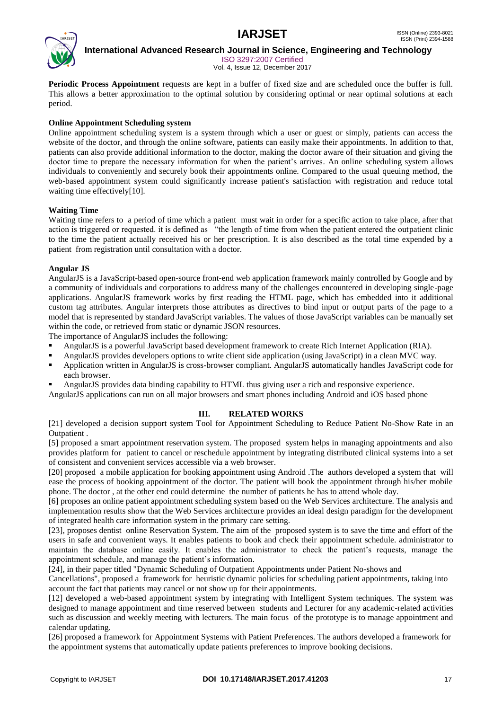

 **International Advanced Research Journal in Science, Engineering and Technology**

ISO 3297:2007 Certified Vol. 4, Issue 12, December 2017

**Periodic Process Appointment** requests are kept in a buffer of fixed size and are scheduled once the buffer is full. This allows a better approximation to the optimal solution by considering optimal or near optimal solutions at each period.

#### **Online Appointment Scheduling system**

Online appointment scheduling system is a system through which a user or guest or simply, patients can access the website of the doctor, and through the online software, patients can easily make their appointments. In addition to that, patients can also provide additional information to the doctor, making the doctor aware of their situation and giving the doctor time to prepare the necessary information for when the patient's arrives. An online scheduling system allows individuals to conveniently and securely book their appointments online. Compared to the usual queuing method, the web-based appointment system could significantly increase patient's satisfaction with registration and reduce total waiting time effectively[10].

#### **Waiting Time**

Waiting time refers to a period of time which a patient must wait in order for a specific action to take place, after that action is triggered or requested. it is defined as "the length of time from when the patient entered the outpatient clinic to the time the patient actually received his or her prescription. It is also described as the total time expended by a patient from registration until consultation with a doctor.

#### **Angular JS**

AngularJS is a JavaScript-based open-source front-end web application framework mainly controlled by Google and by a community of individuals and corporations to address many of the challenges encountered in developing single-page applications. AngularJS framework works by first reading the HTML page, which has embedded into it additional custom tag attributes. Angular interprets those attributes as directives to bind input or output parts of the page to a model that is represented by standard JavaScript variables. The values of those JavaScript variables can be manually set within the code, or retrieved from static or dynamic JSON resources.

The importance of AngularJS includes the following:

- AngularJS is a powerful JavaScript based development framework to create Rich Internet Application (RIA).
- AngularJS provides developers options to write client side application (using JavaScript) in a clean MVC way.
- Application written in AngularJS is cross-browser compliant. AngularJS automatically handles JavaScript code for each browser.
- AngularJS provides data binding capability to HTML thus giving user a rich and responsive experience.
- AngularJS applications can run on all major browsers and smart phones including Android and iOS based phone

### **III. RELATED WORKS**

[21] developed a decision support system Tool for Appointment Scheduling to Reduce Patient No-Show Rate in an Outpatient .

[5] proposed a smart appointment reservation system. The proposed system helps in managing appointments and also provides platform for patient to cancel or reschedule appointment by integrating distributed clinical systems into a set of consistent and convenient services accessible via a web browser.

[20] proposed a mobile application for booking appointment using Android .The authors developed a system that will ease the process of booking appointment of the doctor. The patient will book the appointment through his/her mobile phone. The doctor , at the other end could determine the number of patients he has to attend whole day.

[6] proposes an online patient appointment scheduling system based on the Web Services architecture. The analysis and implementation results show that the Web Services architecture provides an ideal design paradigm for the development of integrated health care information system in the primary care setting.

[23], proposes dentist online Reservation System. The aim of the proposed system is to save the time and effort of the users in safe and convenient ways. It enables patients to book and check their appointment schedule. administrator to maintain the database online easily. It enables the administrator to check the patient's requests, manage the appointment schedule, and manage the patient's information.

[24], in their paper titled "Dynamic Scheduling of Outpatient Appointments under Patient No-shows and

Cancellations", proposed a framework for heuristic dynamic policies for scheduling patient appointments, taking into account the fact that patients may cancel or not show up for their appointments.

[12] developed a web-based appointment system by integrating with Intelligent System techniques. The system was designed to manage appointment and time reserved between students and Lecturer for any academic-related activities such as discussion and weekly meeting with lecturers. The main focus of the prototype is to manage appointment and calendar updating.

[26] proposed a framework for Appointment Systems with Patient Preferences. The authors developed a framework for the appointment systems that automatically update patients preferences to improve booking decisions.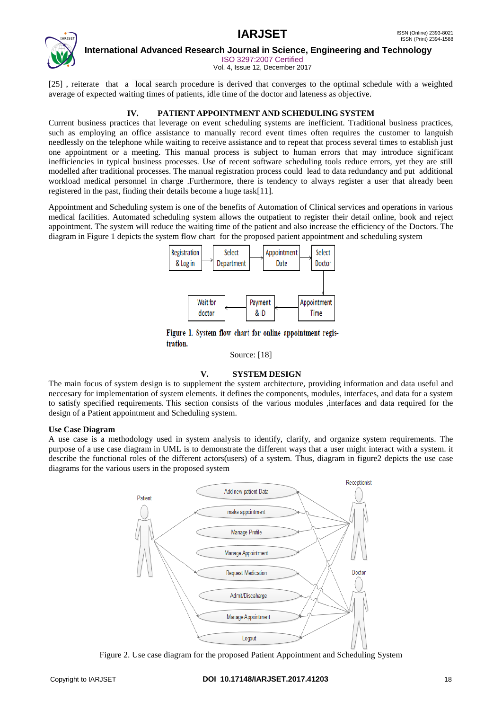

 **International Advanced Research Journal in Science, Engineering and Technology**

ISO 3297:2007 Certified

Vol. 4, Issue 12, December 2017

[25] , reiterate that a local search procedure is derived that converges to the optimal schedule with a weighted average of expected waiting times of patients, idle time of the doctor and lateness as objective.

#### **IV. PATIENT APPOINTMENT AND SCHEDULING SYSTEM**

Current business practices that leverage on event scheduling systems are inefficient. Traditional business practices, such as employing an office assistance to manually record event times often requires the customer to languish needlessly on the telephone while waiting to receive assistance and to repeat that process several times to establish just one appointment or a meeting. This manual process is subject to human errors that may introduce significant inefficiencies in typical business processes. Use of recent software scheduling tools reduce errors, yet they are still modelled after traditional processes. The manual registration process could lead to data redundancy and put additional workload medical personnel in charge .Furthermore, there is tendency to always register a user that already been registered in the past, finding their details become a huge task[11].

Appointment and Scheduling system is one of the benefits of Automation of Clinical services and operations in various medical facilities. Automated scheduling system allows the outpatient to register their detail online, book and reject appointment. The system will reduce the waiting time of the patient and also increase the efficiency of the Doctors. The diagram in Figure 1 depicts the system flow chart for the proposed patient appointment and scheduling system



Figure 1. System flow chart for online appointment registration.

Source: [18]

#### **V. SYSTEM DESIGN**

The main focus of system design is to supplement the system architecture, providing information and data useful and neccesary for implementation of system elements. it defines the components, modules, interfaces, and data for a system to satisfy specified requirements. This section consists of the various modules ,interfaces and data required for the design of a Patient appointment and Scheduling system.

#### **Use Case Diagram**

A use case is a methodology used in system analysis to identify, clarify, and organize system requirements. The purpose of a use case diagram in UML is to demonstrate the different ways that a user might interact with a system. it describe the functional roles of the different actors(users) of a system. Thus, diagram in figure2 depicts the use case diagrams for the various users in the proposed system



Figure 2. Use case diagram for the proposed Patient Appointment and Scheduling System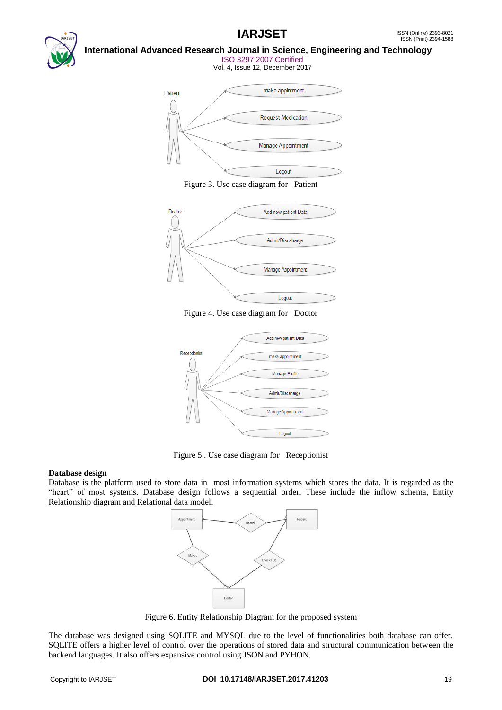

#### **International Advanced Research Journal in Science, Engineering and Technology** ISO 3297:2007 Certified

Vol. 4, Issue 12, December 2017



Figure 3. Use case diagram for Patient



Figure 4. Use case diagram for Doctor



Figure 5 . Use case diagram for Receptionist

#### **Database design**

Database is the platform used to store data in most information systems which stores the data. It is regarded as the "heart" of most systems. Database design follows a sequential order. These include the inflow schema, Entity Relationship diagram and Relational data model.



Figure 6. Entity Relationship Diagram for the proposed system

The database was designed using SQLITE and MYSQL due to the level of functionalities both database can offer. SQLITE offers a higher level of control over the operations of stored data and structural communication between the backend languages. It also offers expansive control using JSON and PYHON.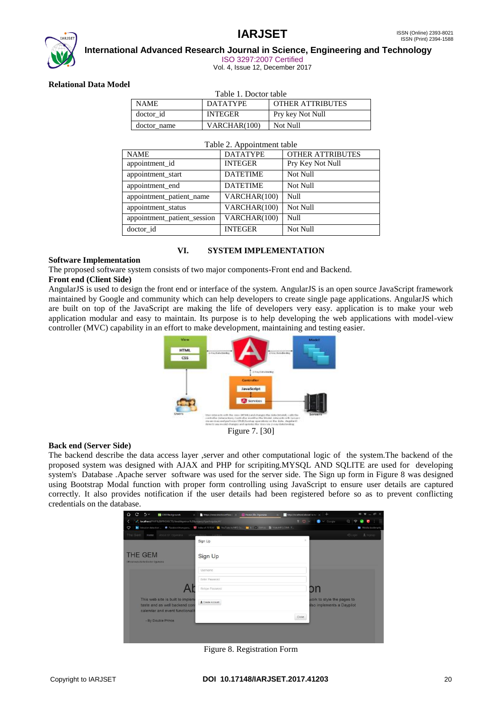# **IARJSET** ISSN (Online) 2393-8021



 **International Advanced Research Journal in Science, Engineering and Technology**

ISO 3297:2007 Certified

Vol. 4, Issue 12, December 2017

#### **Relational Data Model**

| Table 1. Doctor table |                 |                         |  |  |  |  |  |  |  |  |
|-----------------------|-----------------|-------------------------|--|--|--|--|--|--|--|--|
| <b>NAME</b>           | <b>DATATYPE</b> | <b>OTHER ATTRIBUTES</b> |  |  |  |  |  |  |  |  |
| doctor id             | <b>INTEGER</b>  | Pry key Not Null        |  |  |  |  |  |  |  |  |
| doctor name           | VARCHAR(100)    | Not Null                |  |  |  |  |  |  |  |  |

|                             | Table 2. Appointment table |                  |
|-----------------------------|----------------------------|------------------|
| <b>NAME</b>                 | <b>DATATYPE</b>            | OTHER ATTRIBUTES |
| appointment id              | <b>INTEGER</b>             | Pry Key Not Null |
| appointment_start           | <b>DATETIME</b>            | Not Null         |
| appointment_end             | <b>DATETIME</b>            | Not Null         |
| appointment_patient_name    | VARCHAR(100)               | Null             |
| appointment_status          | VARCHAR(100)               | Not Null         |
| appointment patient session | VARCHAR(100)               | Null             |
| doctor id                   | <b>INTEGER</b>             | Not Null         |

#### **VI. SYSTEM IMPLEMENTATION**

#### **Software Implementation**

The proposed software system consists of two major components-Front end and Backend.

#### **Front end (Client Side)**

AngularJS is used to design the front end or interface of the system. AngularJS is an open source JavaScript framework maintained by Google and community which can help developers to create single page applications. AngularJS which are built on top of the JavaScript are making the life of developers very easy. application is to make your web application modular and easy to maintain. Its purpose is to help developing the web applications with model-view controller (MVC) capability in an effort to make development, maintaining and testing easier.



#### **Back end (Server Side)**

The backend describe the data access layer ,server and other computational logic of the system.The backend of the proposed system was designed with AJAX and PHP for scripiting.MYSQL AND SQLITE are used for developing system's Database .Apache server software was used for the server side. The Sign up form in Figure 8 was designed using Bootstrap Modal function with proper form controlling using JavaScript to ensure user details are captured correctly. It also provides notification if the user details had been registered before so as to prevent conflicting credentials on the database.



Figure 8. Registration Form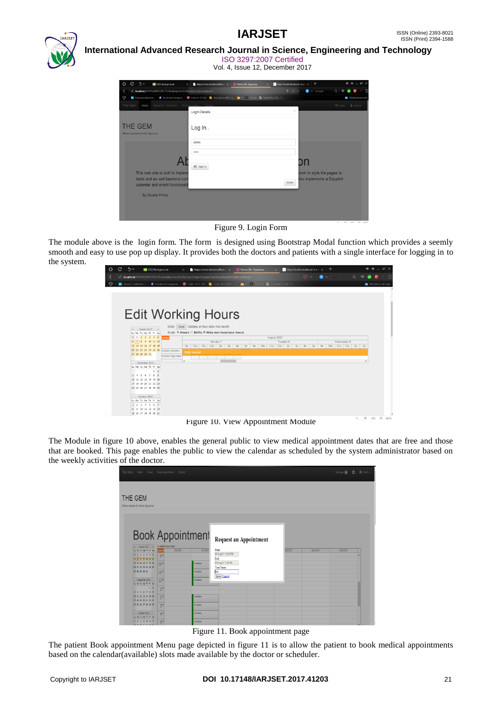

#### **International Advanced Research Journal in Science, Engineering and Technology** ISO 3297:2007 Certified

Vol. 4, Issue 12, December 2017

| C<br>$5 -$<br>⇧<br><b>M</b> CSS3 Backgrounds<br>$\times$                                                                                      | https://www.stackoverflow.c X<br>Home   Dr. Oqunsina | http://localhost/about/ is no! X | $^{+}$                             | $\begin{array}{c} \bullet\ \text{if}\ \text{--}\ \text{if}\ \text{--}\ \end{array}$ |
|-----------------------------------------------------------------------------------------------------------------------------------------------|------------------------------------------------------|----------------------------------|------------------------------------|-------------------------------------------------------------------------------------|
| S. localhost/PHP%20PROJECTS/doubleprince%20project/AjaxAngular/#/<br>K.                                                                       |                                                      | $90 -$                           | $\bigcirc$ $\vee$ Google<br>Q<br>6 |                                                                                     |
| n Intrusion detection <b>D</b> Facebook transpare <b>B</b> Index of /0.10.6/ 18 YouTube to MP3 Co in b GitHub III VidtoMP3.COM - T<br>$\circ$ |                                                      |                                  |                                    | Mobile bookmark                                                                     |
| The Gem<br>About Dr. Ogunsina<br>Home                                                                                                         | Working Hours Cor                                    |                                  |                                    | DLogin LSignup                                                                      |
|                                                                                                                                               | <b>Login Details</b>                                 | $\boldsymbol{\times}$            |                                    |                                                                                     |
| <b>THE GEM</b><br>Official website for Doctor Ogunsina                                                                                        | Log In<br>admin<br>11111<br>• Sign In                |                                  | חס                                 |                                                                                     |
| This web site is built to implem                                                                                                              |                                                      |                                  | work to style the pages to         |                                                                                     |
| taste and as well backend cont                                                                                                                |                                                      |                                  | Iso implements a Daypilot          |                                                                                     |
| calendar and event functionalit                                                                                                               |                                                      | Close                            |                                    |                                                                                     |
| - By Double Prince                                                                                                                            |                                                      |                                  |                                    |                                                                                     |
|                                                                                                                                               |                                                      |                                  |                                    |                                                                                     |

Figure 9. Login Form

The module above is the login form. The form is designed using Bootstrap Modal function which provides a seemly smooth and easy to use pop up display. It provides both the doctors and patients with a single interface for logging in to the system.

| ⇧       | C | $\gamma \vee$ |                                       | <b>BG</b> CSS3 Backgrounds |                                                                                                                      | $\times$       |                          | https://www.stackoverflow.com                     |                |                |                | <b>D</b> Home   Dr. Ogunsina |     |             |           | http://localhost/about/ is no: X |                |                |                 |    | $^{+}$                |             |                   |                         |                                | ÷ |      |
|---------|---|---------------|---------------------------------------|----------------------------|----------------------------------------------------------------------------------------------------------------------|----------------|--------------------------|---------------------------------------------------|----------------|----------------|----------------|------------------------------|-----|-------------|-----------|----------------------------------|----------------|----------------|-----------------|----|-----------------------|-------------|-------------------|-------------------------|--------------------------------|---|------|
|         |   |               |                                       |                            | 3. localhost/PHP%20PROJECTS/doubleprince%20project/AjaxAngular/dashboard.php#/editworkhours                          |                |                          |                                                   |                |                |                |                              |     |             |           |                                  |                |                | $\circ$ $\circ$ |    | $\bullet \vee$ Geogle |             | $\Omega$          | $\widehat{\phantom{a}}$ | $\tilde{\phantom{a}}$          |   |      |
| $\circ$ |   |               |                                       |                            | In Intrusion detection  . Facebook transpare 3 Index of /0.10.6/ 18 YouTube to MP3 Co . 5 GitHub 3 VidtoMP3.COM - T. |                |                          |                                                   |                |                |                |                              |     |             |           |                                  |                |                |                 |    |                       |             |                   |                         | Mobile bookmarks               |   |      |
|         |   |               |                                       |                            |                                                                                                                      |                |                          |                                                   |                |                |                |                              |     |             |           |                                  |                |                |                 |    |                       |             |                   |                         |                                |   |      |
|         |   |               |                                       |                            |                                                                                                                      |                |                          |                                                   |                |                |                |                              |     |             |           |                                  |                |                |                 |    |                       |             |                   |                         |                                |   |      |
|         |   |               |                                       |                            |                                                                                                                      |                |                          |                                                   |                |                |                |                              |     |             |           |                                  |                |                |                 |    |                       |             |                   |                         |                                |   |      |
|         |   |               |                                       |                            |                                                                                                                      |                |                          |                                                   |                |                |                |                              |     |             |           |                                  |                |                |                 |    |                       |             |                   |                         |                                |   |      |
|         |   |               |                                       |                            | <b>Edit Working Hours</b>                                                                                            |                |                          |                                                   |                |                |                |                              |     |             |           |                                  |                |                |                 |    |                       |             |                   |                         |                                |   |      |
|         |   |               |                                       |                            |                                                                                                                      |                |                          |                                                   |                |                |                |                              |     |             |           |                                  |                |                |                 |    |                       |             |                   |                         |                                |   |      |
|         |   |               |                                       |                            | Slots:                                                                                                               |                |                          | Clear Deletes all free slots this month           |                |                |                |                              |     |             |           |                                  |                |                |                 |    |                       |             |                   |                         |                                |   |      |
|         |   | $<$           | August 2017 ><br>Su Mo Tu We Th Fr Sa |                            |                                                                                                                      |                |                          | Scale: ® Hours ® Shifts M Hide non-business hours |                |                |                |                              |     |             |           |                                  |                |                |                 |    |                       |             |                   |                         |                                |   |      |
|         |   |               | $30$ 31 1 2 3 4 5                     |                            | DEMO                                                                                                                 |                |                          |                                                   |                |                |                |                              |     | August 2017 |           |                                  |                |                |                 |    |                       |             |                   |                         |                                |   |      |
|         |   |               | 6 7 8 9 10 11 12                      |                            |                                                                                                                      |                |                          | Monday 7                                          |                |                |                |                              |     |             | Tuesday 8 |                                  |                |                |                 |    |                       | Wednesday 9 |                   |                         |                                |   |      |
|         |   |               | 13 14 15 16 17 18 19                  |                            |                                                                                                                      |                | 9a   10a   11a           | 12p<br>2 <sub>D</sub>                             | 3 <sub>D</sub> | 4 <sub>D</sub> | 5 <sub>0</sub> | 9a                           | 10a | $11a$ $12p$ |           | 2p                               | 3 <sub>D</sub> | 4 <sub>D</sub> | 5 <sub>D</sub>  | 9a |                       |             | 10a 11a 12p 2p 3p |                         |                                |   |      |
|         |   |               | 20 21 22 23 24 25 26                  |                            | Doctor Adesina                                                                                                       |                | Shifts created           |                                                   |                |                |                |                              |     |             |           |                                  |                |                |                 |    |                       |             |                   |                         |                                |   |      |
|         |   |               | 27 28 29 30 31                        |                            | Doctor Ogunsina                                                                                                      |                |                          |                                                   |                |                |                |                              |     |             |           |                                  |                |                |                 |    |                       |             |                   |                         |                                |   |      |
|         |   |               | September 2017                        |                            |                                                                                                                      | $\overline{4}$ |                          |                                                   |                |                |                |                              |     |             |           |                                  |                |                |                 |    |                       |             |                   |                         |                                |   |      |
|         |   |               | Su Mo Tu We Th Fr Sa                  |                            |                                                                                                                      |                |                          |                                                   |                |                |                |                              |     |             |           |                                  |                |                |                 |    |                       |             |                   |                         |                                |   |      |
|         |   |               | 3 4 5 6 7 8 9                         | 1 <sup>2</sup>             |                                                                                                                      |                |                          |                                                   |                |                |                |                              |     |             |           |                                  |                |                |                 |    |                       |             |                   |                         |                                |   |      |
|         |   |               | 10 11 12 13 14 15 16                  |                            |                                                                                                                      |                |                          |                                                   |                |                |                |                              |     |             |           |                                  |                |                |                 |    |                       |             |                   |                         |                                |   |      |
|         |   |               | 17 18 19 20 21 22 23                  |                            |                                                                                                                      |                |                          |                                                   |                |                |                |                              |     |             |           |                                  |                |                |                 |    |                       |             |                   |                         |                                |   |      |
|         |   |               | 24 25 26 27 28 29 30                  |                            |                                                                                                                      |                |                          |                                                   |                |                |                |                              |     |             |           |                                  |                |                |                 |    |                       |             |                   |                         |                                |   |      |
|         |   |               |                                       |                            |                                                                                                                      |                |                          |                                                   |                |                |                |                              |     |             |           |                                  |                |                |                 |    |                       |             |                   |                         |                                |   |      |
|         |   |               | October 2017<br>Su Mo Tu We Th Fr Sa  |                            |                                                                                                                      |                |                          |                                                   |                |                |                |                              |     |             |           |                                  |                |                |                 |    |                       |             |                   |                         |                                |   |      |
|         |   |               | 1 2 3 4 5 6 7                         |                            |                                                                                                                      |                |                          |                                                   |                |                |                |                              |     |             |           |                                  |                |                |                 |    |                       |             |                   |                         |                                |   |      |
|         |   |               | 8 9 10 11 12 13 14                    |                            |                                                                                                                      |                |                          |                                                   |                |                |                |                              |     |             |           |                                  |                |                |                 |    |                       |             |                   |                         |                                |   |      |
|         |   |               | 15 16 17 18 19 20 21                  |                            |                                                                                                                      |                |                          |                                                   |                |                |                |                              |     |             |           |                                  |                |                |                 |    |                       |             |                   |                         |                                |   |      |
|         |   |               |                                       |                            |                                                                                                                      |                | $\overline{\phantom{a}}$ | $\cdots$ $\cdots$                                 |                |                | $\sim$         |                              |     |             |           |                                  | .              |                |                 |    |                       |             | O.                | 县                       | $\Box u \quad \  \  \, \Theta$ |   | 100% |

Figure 10. View Appointment Module

The Module in figure 10 above, enables the general public to view medical appointment dates that are free and those that are booked. This page enables the public to view the calendar as scheduled by the system administrator based on the weekly activities of the doctor.

| The Gem                                                                                                                        | Home About Book Appointment Contact                                           |                                     |                                                               |          |           | Message (6) | 图 上Hitest - |  |
|--------------------------------------------------------------------------------------------------------------------------------|-------------------------------------------------------------------------------|-------------------------------------|---------------------------------------------------------------|----------|-----------|-------------|-------------|--|
| THE GEM<br>Official website for Doctor Ogunsina                                                                                |                                                                               |                                     |                                                               |          |           |             |             |  |
| $\leftarrow$ August 2017 ><br>Su Mo Tu We Thi Fri Sall<br>30 31 1 2 3 4 5                                                      | <b>Book Appointment</b><br>Available time slots:<br>8/6/2017<br>loewol<br>OAN | 8/7/2017                            | Request an Appointment<br>Start<br>07/Aug/17 12:00 PM         | /10/2017 | 8/11/2017 | 8/12/2017   |             |  |
| 6 7 8 9 10 11 12<br>13 14 15 16 17 18 19<br>20 21 22 23 24 25 26<br>27 28 29 30 31<br>September 2017<br>Su Mo Tu We Thi Fri Sa | 10 <sup>20</sup><br>11門<br>12 <sup>7</sup>                                    | Available<br>Available<br>Available | End<br>07/Aug/17 1:00 PM<br>Your Name:<br>lest<br>Save Cancel |          |           |             |             |  |
| 1 <sup>2</sup><br>3 4 5 6 7 8 9<br>10 11 12 13 14 15 16<br>17 18 19 20 21 22 23<br>24 25 26 27 28 29 30                        | 1 <sup>7</sup><br>2 <sup>2</sup><br>3 <sup>th</sup>                           | Available<br>Available              |                                                               |          |           |             |             |  |
| October 2017<br>Su Mo Tu We Thi Fri Sa<br>1 2 3 4 5 6 7                                                                        | 4 <sup>78</sup><br>CIN                                                        | Available<br>Available              |                                                               |          |           |             |             |  |

Figure 11. Book appointment page

The patient Book appointment Menu page depicted in figure 11 is to allow the patient to book medical appointments based on the calendar(available) slots made available by the doctor or scheduler.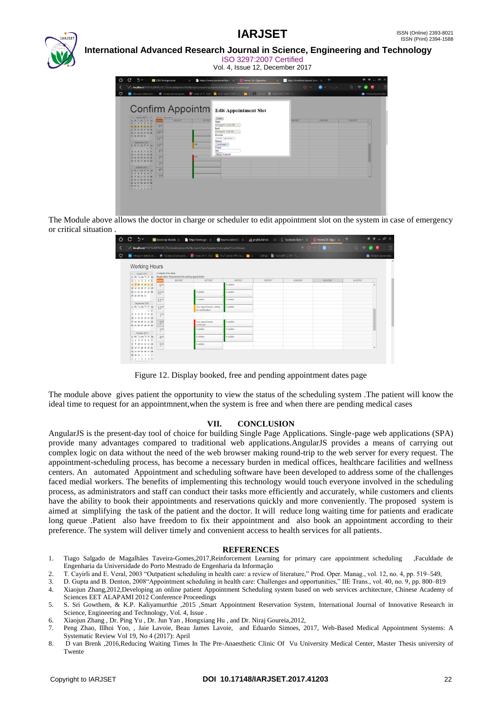

 **International Advanced Research Journal in Science, Engineering and Technology** ISO 3297:2007 Certified

Vol. 4, Issue 12, December 2017

| ⇧       | C.<br>$\gamma$                                                                                                                                                                                                                                                                                                                                                                                                                                                                                     | <b>B</b> CSS3 Backgrounds<br>$\times$                                                                                                                                                                                              |                                                                                                 |                                                                                                      | https://www.stackoverflow.com/ 200 Home   Dr. Ogunsina | $\times$ | <b>http://localhost/about/</b> is no: $\times$   + |                         |                                                 |                  | $ \sigma$ $\times$ |
|---------|----------------------------------------------------------------------------------------------------------------------------------------------------------------------------------------------------------------------------------------------------------------------------------------------------------------------------------------------------------------------------------------------------------------------------------------------------------------------------------------------------|------------------------------------------------------------------------------------------------------------------------------------------------------------------------------------------------------------------------------------|-------------------------------------------------------------------------------------------------|------------------------------------------------------------------------------------------------------|--------------------------------------------------------|----------|----------------------------------------------------|-------------------------|-------------------------------------------------|------------------|--------------------|
|         |                                                                                                                                                                                                                                                                                                                                                                                                                                                                                                    | st_ localhost/PHP%20PROJECTS/doubleprince%20project/AjaxAngular/dashboard.php#/confirmant                                                                                                                                          |                                                                                                 |                                                                                                      |                                                        |          | $\circ \sim$                                       | $\bullet$ $\sim$ Google | $Q \mid \widehat{\sigma} \mid \widehat{\sigma}$ | $\mathbf{C}$     | $\pm$ =            |
| $\circ$ |                                                                                                                                                                                                                                                                                                                                                                                                                                                                                                    | In Intrusion detection  . Facebook transpare 2 Index of /0.10.6/ 2 vouTube to MP3 Co . b GitHub III VidtoMP3.COM - T                                                                                                               |                                                                                                 |                                                                                                      |                                                        |          |                                                    |                         |                                                 | Mobile bookmarks |                    |
|         | $\leq$ August 2017 $\rightarrow$<br>Su Mo Tu We Thi Fri Sa<br>30 31 1 2 3 4 5<br>6 7 8 9 10 11 12<br>13 14 15 16 17 18 19<br>20 21 22 23 24 25 26<br>27 28 29 30 31<br>Sentamber 2017<br>Su Mo Tu We Thi Fri Sa<br>1 <sup>2</sup><br>3 4 5 6 7 8 9<br>10 11 12 13 14 15 16<br>17 18 19 20 21 22 23<br>24 25 26 27 28 29 30<br>October 2017<br>Su Mo Tu We Thi Fri Sa<br>1 2 3 4 5 6 7<br>8 9 10 11 12 13 14<br>15 16 17 18 19 20 21<br>22 23 24 25 26 27 28<br>29 20 21 1 2 3 4<br>S 6 7 8 9 10 11 | Confirm Appointm Edit Appointment Slot<br>Dector Ogunsina *<br>8/6/2017<br><b>DEMO</b><br>9 <sup>131</sup><br>10 <sup>uv</sup><br>114<br>12 <sup>m</sup><br>2 <sup>m</sup><br>3 <sup>m</sup><br>4 <sup>74</sup><br>5 <sup>mt</sup> | 8/7/201<br>Start:<br>Frud:<br>Doctor:<br>Status:<br><b>best</b><br>Name:<br>test<br><b>bash</b> | Delete<br>07/Aug/17 12:00 PM<br>07/Aug/17 1:00 PM<br>Dector Ogunsina *<br>Confirmed *<br>Save Cancel |                                                        |          | V10/2017                                           | 8/11/2017               | 8/12/2017                                       |                  |                    |

The Module above allows the doctor in charge or scheduler to edit appointment slot on the system in case of emergency or critical situation .

|                                              |                       |                                                             | bcalhost/PHP%20PROJECTS/doubleprince%20project/AjaxAnqular/index.php#/workhours                                     |           |          |           |           |           |                     |
|----------------------------------------------|-----------------------|-------------------------------------------------------------|---------------------------------------------------------------------------------------------------------------------|-----------|----------|-----------|-----------|-----------|---------------------|
|                                              |                       |                                                             | The Intrusion detection  C Facebook transpare (C Index of /0.10.6/ 18, YouTube to MP3 Co in b GitHub (MB3.COM - T., |           |          |           |           |           | Mobile bookmark     |
|                                              |                       |                                                             |                                                                                                                     |           |          |           |           |           |                     |
| <b>Working Hours</b>                         |                       |                                                             |                                                                                                                     |           |          |           |           |           |                     |
| $\epsilon$ August 2017 >                     | Available time slots: |                                                             |                                                                                                                     |           |          |           |           |           |                     |
| Su Mo Tu We Thi Fri Sa<br>30 31 1 2 3 4 5    | <b>DEMO</b>           | Registration Required before adding appointment<br>8/6/2017 | 8/7/2017                                                                                                            | 8/8/2017  | 8/9/2017 | 8/10/2017 | 8/11/2017 | 8/12/2017 |                     |
| 6 7 8 9 10 11 12                             | $Q^{4N}$              |                                                             |                                                                                                                     | Available |          |           |           |           |                     |
| 13 14 15 16 17 18 19                         |                       |                                                             |                                                                                                                     |           |          |           |           |           |                     |
| 20 21 22 23 24 25 26                         | 10 <sup>th</sup>      |                                                             | Available                                                                                                           | Available |          |           |           |           |                     |
| 27 28 29 30 31                               |                       |                                                             |                                                                                                                     |           |          |           |           |           |                     |
| September 2017                               | $11^{48}$             |                                                             | Available                                                                                                           | Available |          |           |           |           |                     |
| Su Mo Tu We Thi Fri Sa                       | $12^{m}$              |                                                             | Your appointment, waiting                                                                                           | Available |          |           |           |           |                     |
| 1 <sup>2</sup>                               |                       |                                                             | for confirmation                                                                                                    |           |          |           |           |           |                     |
| 3 4 5 6 7 8 9                                | 1 <sup>m</sup>        |                                                             |                                                                                                                     |           |          |           |           |           |                     |
| 10 11 12 13 14 15 16                         |                       |                                                             | Your appointment,                                                                                                   | Available |          |           |           |           |                     |
| 17 18 19 20 21 22 23<br>24 25 26 27 28 29 30 | $2^m$                 |                                                             | confirmed                                                                                                           |           |          |           |           |           |                     |
|                                              | 3 <sup>m</sup>        |                                                             | Available                                                                                                           | Available |          |           |           |           |                     |
| Ortober 2017                                 |                       |                                                             |                                                                                                                     |           |          |           |           |           |                     |
| Su Mo Tu We Thi Fri Sal                      | $4^{m}$               |                                                             | Available                                                                                                           | Available |          |           |           |           |                     |
| 1 2 3 4 5 6 7<br>8 9 10 11 12 13 14          | 5 <sup>m</sup>        |                                                             | Available                                                                                                           |           |          |           |           |           |                     |
| 15 16 17 18 19 20 21                         |                       |                                                             |                                                                                                                     |           |          |           |           |           | $\scriptstyle\rm w$ |
| 22 23 24 25 26 27 28                         |                       |                                                             |                                                                                                                     |           |          |           |           |           |                     |

Figure 12. Display booked, free and pending appointment dates page

The module above gives patient the opportunity to view the status of the scheduling system .The patient will know the ideal time to request for an appointmnent,when the system is free and when there are pending medical cases

#### **VII. CONCLUSION**

AngularJS is the present-day tool of choice for building Single Page Applications. Single-page web applications (SPA) provide many advantages compared to traditional web applications.AngularJS provides a means of carrying out complex logic on data without the need of the web browser making round-trip to the web server for every request. The appointment-scheduling process, has become a necessary burden in medical offices, healthcare facilities and wellness centers. An automated Appointment and scheduling software have been developed to address some of the challenges faced medial workers. The benefits of implementing this technology would touch everyone involved in the scheduling process, as administrators and staff can conduct their tasks more efficiently and accurately, while customers and clients have the ability to book their appointments and reservations quickly and more conveniently. The proposed system is aimed at simplifying the task of the patient and the doctor. It will reduce long waiting time for patients and eradicate long queue .Patient also have freedom to fix their appointment and also book an appointment according to their preference. The system will deliver timely and convenient access to health services for all patients.

#### **REFERENCES**

- 1. Tiago Salgado de Magalhães Taveira-Gomes,2017,Reinforcement Learning for primary care appointment scheduling ,Faculdade de Engenharia da Universidade do Porto Mestrado de Engenharia da Informação
- 2. T. Cayirli and E. Veral, 2003 "Outpatient scheduling in health care: a review of literature," Prod. Oper. Manag., vol. 12, no. 4, pp. 519–549,
- 3. D. Gupta and B. Denton, 2008"Appointment scheduling in health care: Challenges and opportunities," IIE Trans., vol. 40, no. 9, pp. 800–819 4. Xiaojun Zhang,2012,Developing an online patient Appointment Scheduling system based on web services architecture, Chinese Academy of
- Sciences EET ALAPAMI 2012 Conference Proceedings
- 5. S. Sri Gowthem, & K.P. Kaliyamurthie ,2015 ,Smart Appointment Reservation System, International Journal of Innovative Research in Science, Engineering and Technology, Vol. 4, Issue .
- 6. Xiaojun Zhang , Dr. Ping Yu , Dr. Jun Yan , Hongxiang Hu , and Dr. Niraj Goureia,2012,
- 7. Peng Zhao, Illhoi Yoo, , Jaie Lavoie, Beau James Lavoie, and Eduardo Simoes, 2017, Web-Based Medical Appointment Systems: A Systematic Review Vol 19, No 4 (2017): April
- 8. D van Brenk ,2016,Reducing Waiting Times In The Pre-Anaesthetic Clinic Of Vu University Medical Center, Master Thesis university of Twente